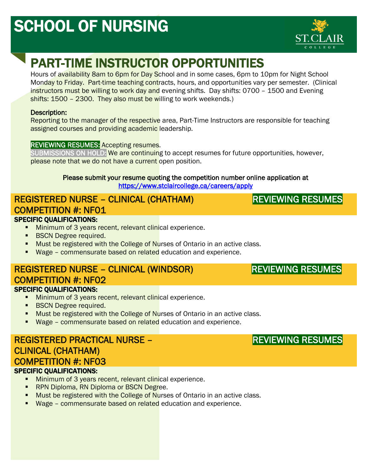# SCHOOL OF NURSING



# PART-TIME INSTRUCTOR OPPORTUNITIES

Hours of availability 8am to 6pm for Day School and in some cases, 6pm to 10pm for Night School Monday to Friday. Part-time teaching contracts, hours, and opportunities vary per semester. (Clinical instructors must be willing to work day and evening shifts. Day shifts: 0700 - 1500 and Evening shifts: 1500 - 2300. They also must be willing to work weekends.)

#### Description:

Reporting to the manager of the respective area, Part-Time Instructors are responsible for teaching assigned courses and providing academic leadership.

#### REVIEWING RESUMES: Accepting resumes.

SUBMISSIONS ON HOLD: We are continuing to accept resumes for future opportunities, however, please note that we do not have a current open position.

#### Please submit your resume quoting the competition number online application at <https://www.stclaircollege.ca/careers/apply>

#### REGISTERED NURSE – CLINICAL (CHATHAM) COMPETITION #: NF01 I

#### SPECIFIC QUALIFICATIONS:

- **Minimum of 3 years recent, relevant clinical experience.**
- **BSCN Degree required.**
- Must be registered with the College of Nurses of Ontario in an active class.
- Wage commensurate based on related education and experience.

#### REGISTERED NURSE – CLINICAL (WINDSOR) COMPETITION #: NF02 SPECIFIC QUALIFICATIONS:

- **Minimum of 3 years recent, relevant clinical experience.**
- **BSCN Degree required.**
- Must be registered with the College of Nurses of Ontario in an active class.
- Wage commensurate based on related education and experience.

#### REGISTERED PRACTICAL NURSE – CLINICAL (CHATHAM) COMPETITION #: NF03 SPECIFIC QUALIFICATIONS:

- **Minimum of 3 years recent, relevant clinical experience.**
- **RPN Diploma, RN Diploma or BSCN Degree.**
- Must be registered with the College of Nurses of Ontario in an active class.
- Wage commensurate based on related education and experience.

### REVIEWING RESUMES

REVIEWING RESUMES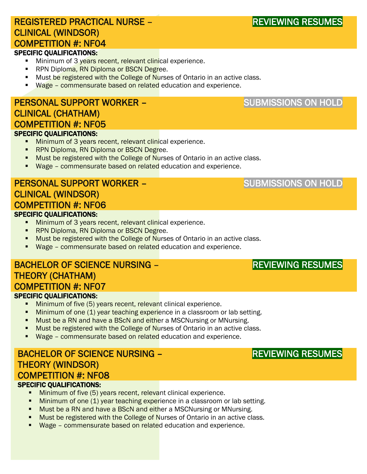### REGISTERED PRACTICAL NURSE – CLINICAL (WINDSOR) COMPETITION #: NF04

#### SPECIFIC QUALIFICATIONS:

- Minimum of 3 years recent, relevant clinical experience.
- **RPN Diploma, RN Diploma or BSCN Degree.**
- **Must be registered with the College of Nurses of Ontario in an active class.**
- Wage commensurate based on related education and experience.

#### PERSONAL SUPPORT WORKER – CLINICAL (CHATHAM) COMPETITION #: NF05 SPECIFIC QUALIFICATIONS:

- **Minimum of 3 years recent, relevant clinical experience.**
- **RPN Diploma, RN Diploma or BSCN Degree.**
- Must be registered with the College of Nurses of Ontario in an active class.
- Wage commensurate based on related education and experience.

#### PERSONAL SUPPORT WORKER – CLINICAL (WINDSOR) COMPETITION #: NF06 SPECIFIC QUALIFICATIONS:

- **Minimum of 3 years recent, relevant clinical experience.**
- **RPN Diploma, RN Diploma or BSCN Degree.**
- **Must be registered with the College of Nurses of Ontario in an active class.**
- Wage commensurate based on related education and experience.

#### BACHELOR OF SCIENCE NURSING – THEORY (CHATHAM) COMPETITION #: NF07 SPECIFIC QUALIFICATIONS:

- **Minimum of five (5) years recent, relevant clinical experience.**
- **Minimum of one (1) year teaching experience in a classroom or lab setting.**
- **Must be a RN and have a BScN and either a MSCNursing or MNursing.**
- **Must be registered with the College of Nurses of Ontario in an active class.**
- **Wage commensurate based on related** education and experience.

### BACHELOR OF SCIENCE NURSING – THEORY (WINDSOR) COMPETITION #: NF08

#### SPECIFIC QUALIFICATIONS:

- **Minimum of five (5) years recent, relevant clinical experience.**
- **Minimum of one (1) year teaching experience in a classroom or lab setting.**
- **Must be a RN and have a BScN and either a MSCNursing or MNursing.**
- Must be registered with the College of Nurses of Ontario in an active class.
- Wage commensurate based on related education and experience.

### SUBMISSIONS ON HOLD

SUBMISSIONS ON HOLD

### REVIEWING RESUMES

### REVIEWING RESUMES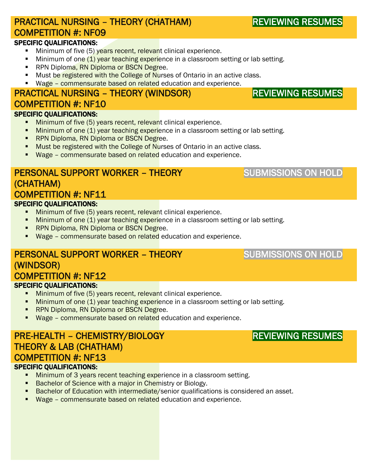### PRACTICAL NURSING – THEORY (CHATHAM) COMPETITION #: NF09

#### SPECIFIC QUALIFICATIONS:

- Minimum of five (5) years recent, relevant clinical experience.
- Minimum of one (1) year teaching experience in a classroom setting or lab setting.
- **RPN Diploma, RN Diploma or BSCN Degree.**
- **Must be registered with the College of Nurses of Ontario in an active class.**
- Wage commensurate based on related education and experience.

### PRACTICAL NURSING – THEORY (WINDSOR) COMPETITION #: NF10

#### SPECIFIC QUALIFICATIONS:

- Minimum of five (5) years recent, relevant clinical experience.
- **Minimum of one (1) year teaching experience in a classroom setting or lab setting.**
- **RPN Diploma, RN Diploma or BSCN Degree.**
- Must be registered with the College of Nurses of Ontario in an active class.
- **Wage commensurate based on related** education and experience.

#### PERSONAL SUPPORT WORKER – THEORY (CHATHAM) COMPETITION #: NF11 SPECIFIC QUALIFICATIONS:

- Minimum of five (5) years recent, relevant clinical experience.
- **Minimum of one (1) year teaching experience in a classroom setting or lab setting.**
- **RPN Diploma, RN Diploma or BSCN Degree.**
- Wage commensurate based on related education and experience.

### PERSONAL SUPPORT WORKER – THEORY (WINDSOR) COMPETITION #: NF12

#### SPECIFIC QUALIFICATIONS:

- Minimum of five (5) years recent, relevant clinical experience.
- **Minimum of one (1) year teaching experience in a classroom setting or lab setting.**
- **RPN Diploma, RN Diploma or BSCN Degree.**
- Wage commensurate based on related education and experience.

### PRE-HEALTH – CHEMISTRY/BIOLOGY THEORY & LAB (CHATHAM) COMPETITION #: NF13

#### SPECIFIC QUALIFICATIONS:

- **Minimum of 3 years recent teaching experience in a classroom setting.**
- **Bachelor of Science with a major in Chemistry or Biology.**
- **Bachelor of Education with intermediate/senior qualifications is considered an asset.**
- **Wage commensurate based on related** education and experience.

## SUBMISSIONS ON HOLD

### SUBMISSIONS ON HOLD

## REVIEWING RESUMES

# REVIEWING RESUMES